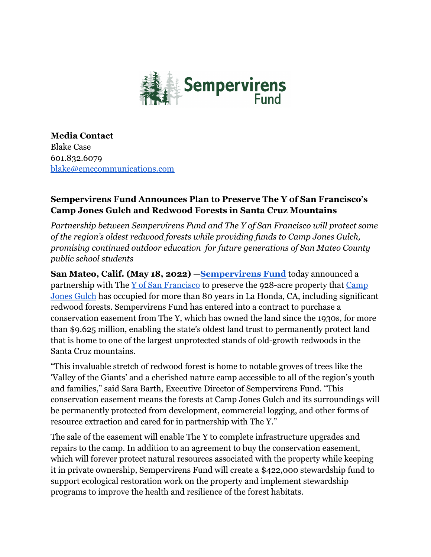

**Media Contact** Blake Case 601.832.6079 [blake@emccommunications.com](mailto:blake@emccommunications.com)

## **Sempervirens Fund Announces Plan to Preserve The Y of San Francisco's Camp Jones Gulch and Redwood Forests in Santa Cruz Mountains**

*Partnership between Sempervirens Fund and The Y of San Francisco will protect some of the region's oldest redwood forests while providing funds to Camp Jones Gulch, promising continued outdoor education for future generations of San Mateo County public school students*

**San Mateo, Calif. (May 18, 2022)** —**[Sempervirens Fund](https://sempervirens.org)** today announced a partnership with The  $Y$  of San Francisco to preserve the 928-acre property that  $Camp$ [Jones Gulch](https://www.ymcasf.org/locations/ymca-camp-jones-gulch) has occupied for more than 80 years in La Honda, CA, including significant redwood forests. Sempervirens Fund has entered into a contract to purchase a conservation easement from The Y, which has owned the land since the 1930s, for more than \$9.625 million, enabling the state's oldest land trust to permanently protect land that is home to one of the largest unprotected stands of old-growth redwoods in the Santa Cruz mountains.

"This invaluable stretch of redwood forest is home to notable groves of trees like the 'Valley of the Giants' and a cherished nature camp accessible to all of the region's youth and families," said Sara Barth, Executive Director of Sempervirens Fund. "This conservation easement means the forests at Camp Jones Gulch and its surroundings will be permanently protected from development, commercial logging, and other forms of resource extraction and cared for in partnership with The Y."

The sale of the easement will enable The Y to complete infrastructure upgrades and repairs to the camp. In addition to an agreement to buy the conservation easement, which will forever protect natural resources associated with the property while keeping it in private ownership, Sempervirens Fund will create a \$422,000 stewardship fund to support ecological restoration work on the property and implement stewardship programs to improve the health and resilience of the forest habitats.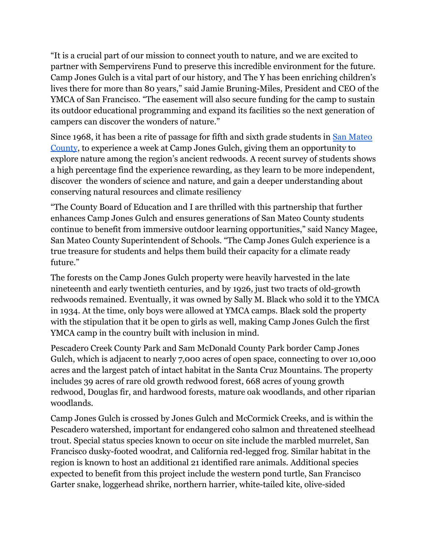"It is a crucial part of our mission to connect youth to nature, and we are excited to partner with Sempervirens Fund to preserve this incredible environment for the future. Camp Jones Gulch is a vital part of our history, and The Y has been enriching children's lives there for more than 80 years," said Jamie Bruning-Miles, President and CEO of the YMCA of San Francisco. "The easement will also secure funding for the camp to sustain its outdoor educational programming and expand its facilities so the next generation of campers can discover the wonders of nature."

Since 1968, it has been a rite of passage for fifth and sixth grade students in [San Mateo](https://www.smcoe.org/) [County](https://www.smcoe.org/), to experience a week at Camp Jones Gulch, giving them an opportunity to explore nature among the region's ancient redwoods. A recent survey of students shows a high percentage find the experience rewarding, as they learn to be more independent, discover the wonders of science and nature, and gain a deeper understanding about conserving natural resources and climate resiliency

"The County Board of Education and I are thrilled with this partnership that further enhances Camp Jones Gulch and ensures generations of San Mateo County students continue to benefit from immersive outdoor learning opportunities," said Nancy Magee, San Mateo County Superintendent of Schools. "The Camp Jones Gulch experience is a true treasure for students and helps them build their capacity for a climate ready future."

The forests on the Camp Jones Gulch property were heavily harvested in the late nineteenth and early twentieth centuries, and by 1926, just two tracts of old-growth redwoods remained. Eventually, it was owned by Sally M. Black who sold it to the YMCA in 1934. At the time, only boys were allowed at YMCA camps. Black sold the property with the stipulation that it be open to girls as well, making Camp Jones Gulch the first YMCA camp in the country built with inclusion in mind.

Pescadero Creek County Park and Sam McDonald County Park border Camp Jones Gulch, which is adjacent to nearly 7,000 acres of open space, connecting to over 10,000 acres and the largest patch of intact habitat in the Santa Cruz Mountains. The property includes 39 acres of rare old growth redwood forest, 668 acres of young growth redwood, Douglas fir, and hardwood forests, mature oak woodlands, and other riparian woodlands.

Camp Jones Gulch is crossed by Jones Gulch and McCormick Creeks, and is within the Pescadero watershed, important for endangered coho salmon and threatened steelhead trout. Special status species known to occur on site include the marbled murrelet, San Francisco dusky-footed woodrat, and California red-legged frog. Similar habitat in the region is known to host an additional 21 identified rare animals. Additional species expected to benefit from this project include the western pond turtle, San Francisco Garter snake, loggerhead shrike, northern harrier, white-tailed kite, olive-sided